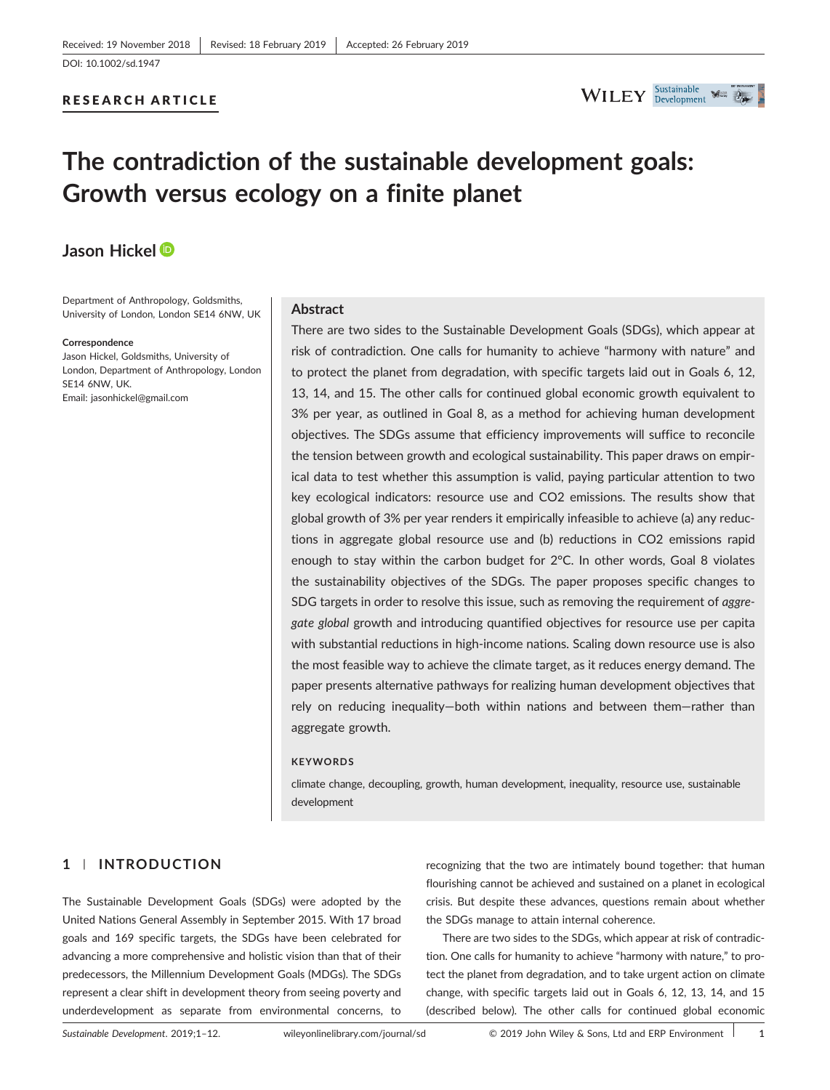### RESEARCH ARTICLE



# **The contradiction of the sustainable development goals: Growth versus ecology on a finite planet**

## **Jason Hickel**

Department of Anthropology, Goldsmiths, University of London, London SE14 6NW, UK

#### **Correspondence**

Jason Hickel, Goldsmiths, University of London, Department of Anthropology, London SE14 6NW, UK. Email: [jasonhickel@gmail.com](mailto:jasonhickel@gmail.com)

#### **Abstract**

There are two sides to the Sustainable Development Goals (SDGs), which appear at risk of contradiction. One calls for humanity to achieve "harmony with nature" and to protect the planet from degradation, with specific targets laid out in Goals 6, 12, 13, 14, and 15. The other calls for continued global economic growth equivalent to 3% per year, as outlined in Goal 8, as a method for achieving human development objectives. The SDGs assume that efficiency improvements will suffice to reconcile the tension between growth and ecological sustainability. This paper draws on empirical data to test whether this assumption is valid, paying particular attention to two key ecological indicators: resource use and CO2 emissions. The results show that global growth of 3% per year renders it empirically infeasible to achieve (a) any reductions in aggregate global resource use and (b) reductions in CO2 emissions rapid enough to stay within the carbon budget for  $2^{\circ}$ C. In other words, Goal 8 violates the sustainability objectives of the SDGs. The paper proposes specific changes to SDG targets in order to resolve this issue, such as removing the requirement of *aggregate global* growth and introducing quantified objectives for resource use per capita with substantial reductions in high-income nations. Scaling down resource use is also the most feasible way to achieve the climate target, as it reduces energy demand. The paper presents alternative pathways for realizing human development objectives that rely on reducing inequality—both within nations and between them—rather than aggregate growth.

#### **KEYWORDS**

climate change, decoupling, growth, human development, inequality, resource use, sustainable development

## **1** | **INTRODUCTION**

The Sustainable Development Goals (SDGs) were adopted by the United Nations General Assembly in September 2015. With 17 broad goals and 169 specific targets, the SDGs have been celebrated for advancing a more comprehensive and holistic vision than that of their predecessors, the Millennium Development Goals (MDGs). The SDGs represent a clear shift in development theory from seeing poverty and underdevelopment as separate from environmental concerns, to

recognizing that the two are intimately bound together: that human flourishing cannot be achieved and sustained on a planet in ecological crisis. But despite these advances, questions remain about whether the SDGs manage to attain internal coherence.

There are two sides to the SDGs, which appear at risk of contradiction. One calls for humanity to achieve "harmony with nature," to protect the planet from degradation, and to take urgent action on climate change, with specific targets laid out in Goals 6, 12, 13, 14, and 15 (described below). The other calls for continued global economic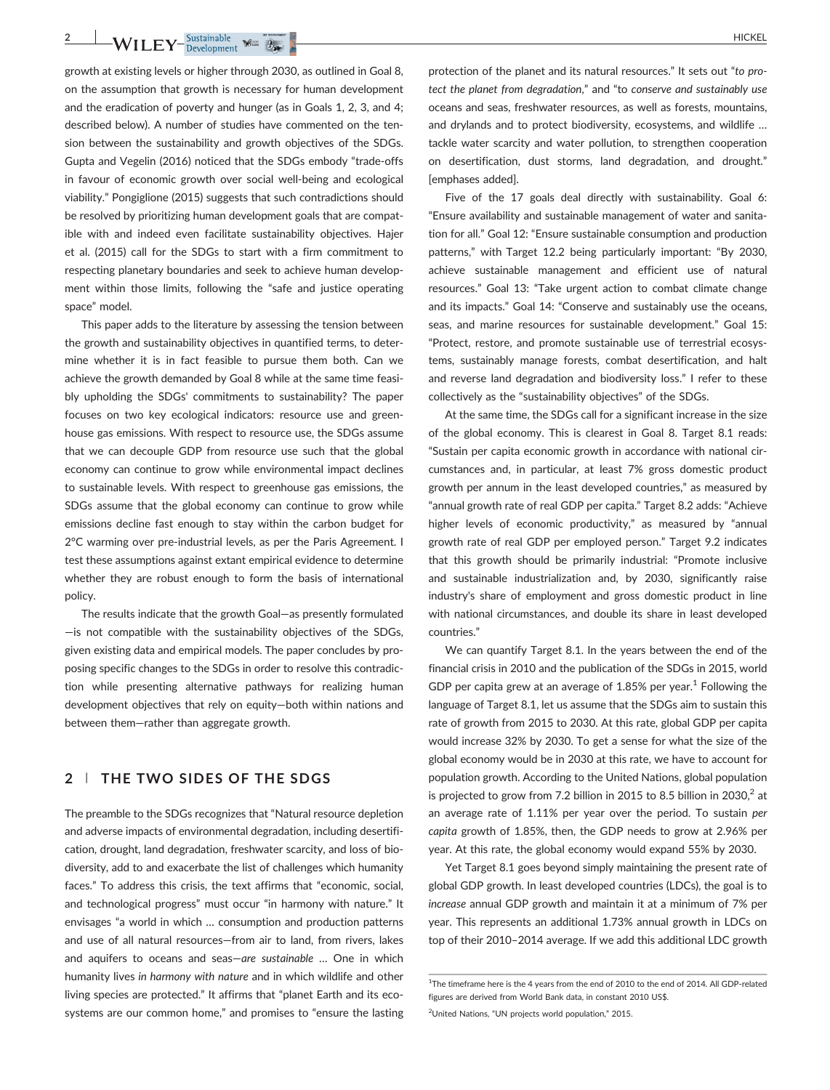**2** WILEY-Sustainable was  $\frac{1}{2}$ 

growth at existing levels or higher through 2030, as outlined in Goal 8, on the assumption that growth is necessary for human development and the eradication of poverty and hunger (as in Goals 1, 2, 3, and 4; described below). A number of studies have commented on the tension between the sustainability and growth objectives of the SDGs. Gupta and Vegelin (2016) noticed that the SDGs embody "trade‐offs in favour of economic growth over social well‐being and ecological viability." Pongiglione (2015) suggests that such contradictions should be resolved by prioritizing human development goals that are compatible with and indeed even facilitate sustainability objectives. Hajer et al. (2015) call for the SDGs to start with a firm commitment to respecting planetary boundaries and seek to achieve human development within those limits, following the "safe and justice operating space" model.

This paper adds to the literature by assessing the tension between the growth and sustainability objectives in quantified terms, to determine whether it is in fact feasible to pursue them both. Can we achieve the growth demanded by Goal 8 while at the same time feasibly upholding the SDGs' commitments to sustainability? The paper focuses on two key ecological indicators: resource use and greenhouse gas emissions. With respect to resource use, the SDGs assume that we can decouple GDP from resource use such that the global economy can continue to grow while environmental impact declines to sustainable levels. With respect to greenhouse gas emissions, the SDGs assume that the global economy can continue to grow while emissions decline fast enough to stay within the carbon budget for 2°C warming over pre-industrial levels, as per the Paris Agreement. I test these assumptions against extant empirical evidence to determine whether they are robust enough to form the basis of international policy.

The results indicate that the growth Goal—as presently formulated —is not compatible with the sustainability objectives of the SDGs, given existing data and empirical models. The paper concludes by proposing specific changes to the SDGs in order to resolve this contradiction while presenting alternative pathways for realizing human development objectives that rely on equity—both within nations and between them—rather than aggregate growth.

## **2** | **THE TWO SIDES OF THE SDGS**

The preamble to the SDGs recognizes that "Natural resource depletion and adverse impacts of environmental degradation, including desertification, drought, land degradation, freshwater scarcity, and loss of biodiversity, add to and exacerbate the list of challenges which humanity faces." To address this crisis, the text affirms that "economic, social, and technological progress" must occur "in harmony with nature." It envisages "a world in which … consumption and production patterns and use of all natural resources—from air to land, from rivers, lakes and aquifers to oceans and seas—*are sustainable* … One in which humanity lives *in harmony with nature* and in which wildlife and other living species are protected." It affirms that "planet Earth and its ecosystems are our common home," and promises to "ensure the lasting

protection of the planet and its natural resources." It sets out "*to protect the planet from degradation*," and "to *conserve and sustainably use* oceans and seas, freshwater resources, as well as forests, mountains, and drylands and to protect biodiversity, ecosystems, and wildlife … tackle water scarcity and water pollution, to strengthen cooperation on desertification, dust storms, land degradation, and drought." [emphases added].

Five of the 17 goals deal directly with sustainability. Goal 6: "Ensure availability and sustainable management of water and sanitation for all." Goal 12: "Ensure sustainable consumption and production patterns," with Target 12.2 being particularly important: "By 2030, achieve sustainable management and efficient use of natural resources." Goal 13: "Take urgent action to combat climate change and its impacts." Goal 14: "Conserve and sustainably use the oceans, seas, and marine resources for sustainable development." Goal 15: "Protect, restore, and promote sustainable use of terrestrial ecosystems, sustainably manage forests, combat desertification, and halt and reverse land degradation and biodiversity loss." I refer to these collectively as the "sustainability objectives" of the SDGs.

At the same time, the SDGs call for a significant increase in the size of the global economy. This is clearest in Goal 8. Target 8.1 reads: "Sustain per capita economic growth in accordance with national circumstances and, in particular, at least 7% gross domestic product growth per annum in the least developed countries," as measured by "annual growth rate of real GDP per capita." Target 8.2 adds: "Achieve higher levels of economic productivity," as measured by "annual growth rate of real GDP per employed person." Target 9.2 indicates that this growth should be primarily industrial: "Promote inclusive and sustainable industrialization and, by 2030, significantly raise industry's share of employment and gross domestic product in line with national circumstances, and double its share in least developed countries."

We can quantify Target 8.1. In the years between the end of the financial crisis in 2010 and the publication of the SDGs in 2015, world GDP per capita grew at an average of  $1.85\%$  per year.<sup>1</sup> Following the language of Target 8.1, let us assume that the SDGs aim to sustain this rate of growth from 2015 to 2030. At this rate, global GDP per capita would increase 32% by 2030. To get a sense for what the size of the global economy would be in 2030 at this rate, we have to account for population growth. According to the United Nations, global population is projected to grow from 7.2 billion in 2015 to 8.5 billion in 2030, $2$  at an average rate of 1.11% per year over the period. To sustain *per capita* growth of 1.85%, then, the GDP needs to grow at 2.96% per year. At this rate, the global economy would expand 55% by 2030.

Yet Target 8.1 goes beyond simply maintaining the present rate of global GDP growth. In least developed countries (LDCs), the goal is to *increase* annual GDP growth and maintain it at a minimum of 7% per year. This represents an additional 1.73% annual growth in LDCs on top of their 2010–2014 average. If we add this additional LDC growth

<sup>&</sup>lt;sup>1</sup>The timeframe here is the 4 years from the end of 2010 to the end of 2014. All GDP-related figures are derived from World Bank data, in constant 2010 US\$.

<sup>&</sup>lt;sup>2</sup>United Nations, "UN projects world population," 2015.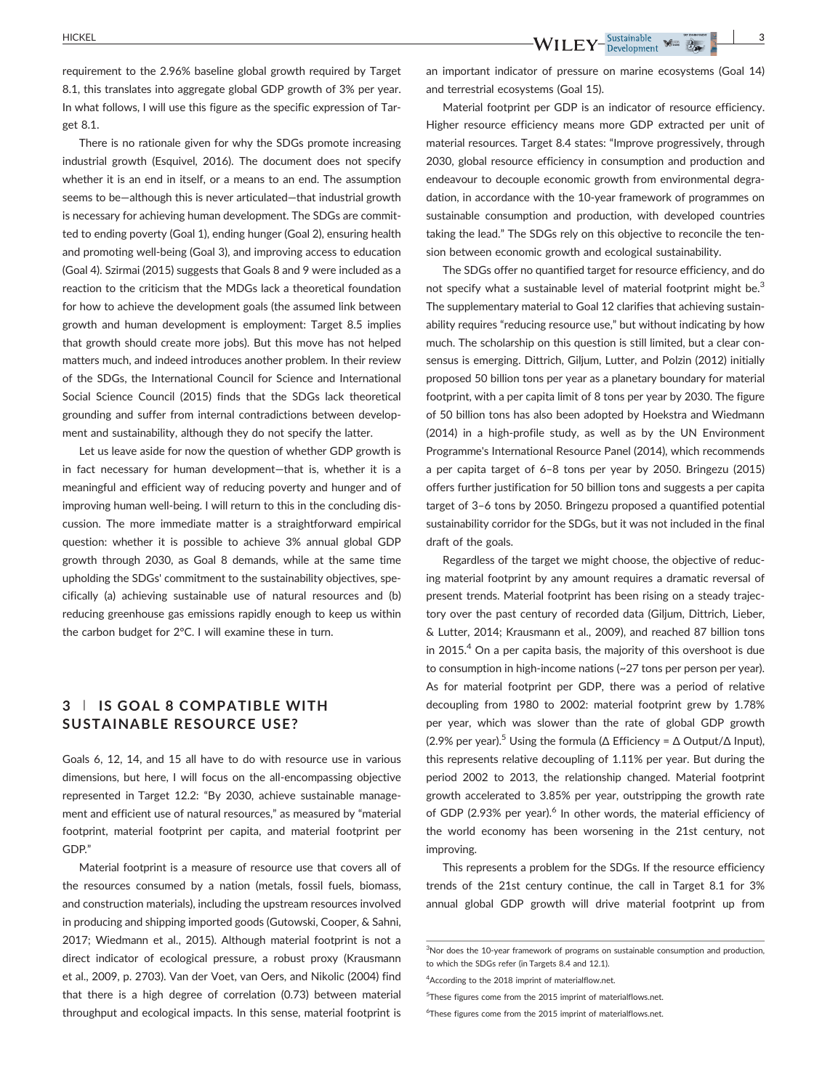HICKEL **3**

requirement to the 2.96% baseline global growth required by Target 8.1, this translates into aggregate global GDP growth of 3% per year. In what follows, I will use this figure as the specific expression of Target 8.1.

There is no rationale given for why the SDGs promote increasing industrial growth (Esquivel, 2016). The document does not specify whether it is an end in itself, or a means to an end. The assumption seems to be—although this is never articulated—that industrial growth is necessary for achieving human development. The SDGs are committed to ending poverty (Goal 1), ending hunger (Goal 2), ensuring health and promoting well-being (Goal 3), and improving access to education (Goal 4). Szirmai (2015) suggests that Goals 8 and 9 were included as a reaction to the criticism that the MDGs lack a theoretical foundation for how to achieve the development goals (the assumed link between growth and human development is employment: Target 8.5 implies that growth should create more jobs). But this move has not helped matters much, and indeed introduces another problem. In their review of the SDGs, the International Council for Science and International Social Science Council (2015) finds that the SDGs lack theoretical grounding and suffer from internal contradictions between development and sustainability, although they do not specify the latter.

Let us leave aside for now the question of whether GDP growth is in fact necessary for human development—that is, whether it is a meaningful and efficient way of reducing poverty and hunger and of improving human well-being. I will return to this in the concluding discussion. The more immediate matter is a straightforward empirical question: whether it is possible to achieve 3% annual global GDP growth through 2030, as Goal 8 demands, while at the same time upholding the SDGs' commitment to the sustainability objectives, specifically (a) achieving sustainable use of natural resources and (b) reducing greenhouse gas emissions rapidly enough to keep us within the carbon budget for 2°C. I will examine these in turn.

## **3** | **IS GOAL 8 COMPATIBLE WITH SUSTAINABLE RESOURCE USE?**

Goals 6, 12, 14, and 15 all have to do with resource use in various dimensions, but here, I will focus on the all‐encompassing objective represented in Target 12.2: "By 2030, achieve sustainable management and efficient use of natural resources," as measured by "material footprint, material footprint per capita, and material footprint per GDP."

Material footprint is a measure of resource use that covers all of the resources consumed by a nation (metals, fossil fuels, biomass, and construction materials), including the upstream resources involved in producing and shipping imported goods (Gutowski, Cooper, & Sahni, 2017; Wiedmann et al., 2015). Although material footprint is not a direct indicator of ecological pressure, a robust proxy (Krausmann et al., 2009, p. 2703). Van der Voet, van Oers, and Nikolic (2004) find that there is a high degree of correlation (0.73) between material throughput and ecological impacts. In this sense, material footprint is

an important indicator of pressure on marine ecosystems (Goal 14) and terrestrial ecosystems (Goal 15).

Material footprint per GDP is an indicator of resource efficiency. Higher resource efficiency means more GDP extracted per unit of material resources. Target 8.4 states: "Improve progressively, through 2030, global resource efficiency in consumption and production and endeavour to decouple economic growth from environmental degradation, in accordance with the 10‐year framework of programmes on sustainable consumption and production, with developed countries taking the lead." The SDGs rely on this objective to reconcile the tension between economic growth and ecological sustainability.

The SDGs offer no quantified target for resource efficiency, and do not specify what a sustainable level of material footprint might be.<sup>3</sup> The supplementary material to Goal 12 clarifies that achieving sustainability requires "reducing resource use," but without indicating by how much. The scholarship on this question is still limited, but a clear consensus is emerging. Dittrich, Giljum, Lutter, and Polzin (2012) initially proposed 50 billion tons per year as a planetary boundary for material footprint, with a per capita limit of 8 tons per year by 2030. The figure of 50 billion tons has also been adopted by Hoekstra and Wiedmann (2014) in a high‐profile study, as well as by the UN Environment Programme's International Resource Panel (2014), which recommends a per capita target of 6–8 tons per year by 2050. Bringezu (2015) offers further justification for 50 billion tons and suggests a per capita target of 3–6 tons by 2050. Bringezu proposed a quantified potential sustainability corridor for the SDGs, but it was not included in the final draft of the goals.

Regardless of the target we might choose, the objective of reducing material footprint by any amount requires a dramatic reversal of present trends. Material footprint has been rising on a steady trajectory over the past century of recorded data (Giljum, Dittrich, Lieber, & Lutter, 2014; Krausmann et al., 2009), and reached 87 billion tons in 2015. $4$  On a per capita basis, the majority of this overshoot is due to consumption in high‐income nations (~27 tons per person per year). As for material footprint per GDP, there was a period of relative decoupling from 1980 to 2002: material footprint grew by 1.78% per year, which was slower than the rate of global GDP growth (2.9% per year).<sup>5</sup> Using the formula ( $Δ$  Efficiency =  $Δ$  Output/ $Δ$  Input), this represents relative decoupling of 1.11% per year. But during the period 2002 to 2013, the relationship changed. Material footprint growth accelerated to 3.85% per year, outstripping the growth rate of GDP (2.93% per year).<sup>6</sup> In other words, the material efficiency of the world economy has been worsening in the 21st century, not improving.

This represents a problem for the SDGs. If the resource efficiency trends of the 21st century continue, the call in Target 8.1 for 3% annual global GDP growth will drive material footprint up from

<sup>&</sup>lt;sup>3</sup>Nor does the 10-year framework of programs on sustainable consumption and production, to which the SDGs refer (in Targets 8.4 and 12.1).

<sup>4</sup> According to the 2018 imprint of materialflow.net.

<sup>5</sup> These figures come from the 2015 imprint of [materialflows.net.](http://materialflows.net)

<sup>6</sup> These figures come from the 2015 imprint of [materialflows.net.](http://materialflows.net)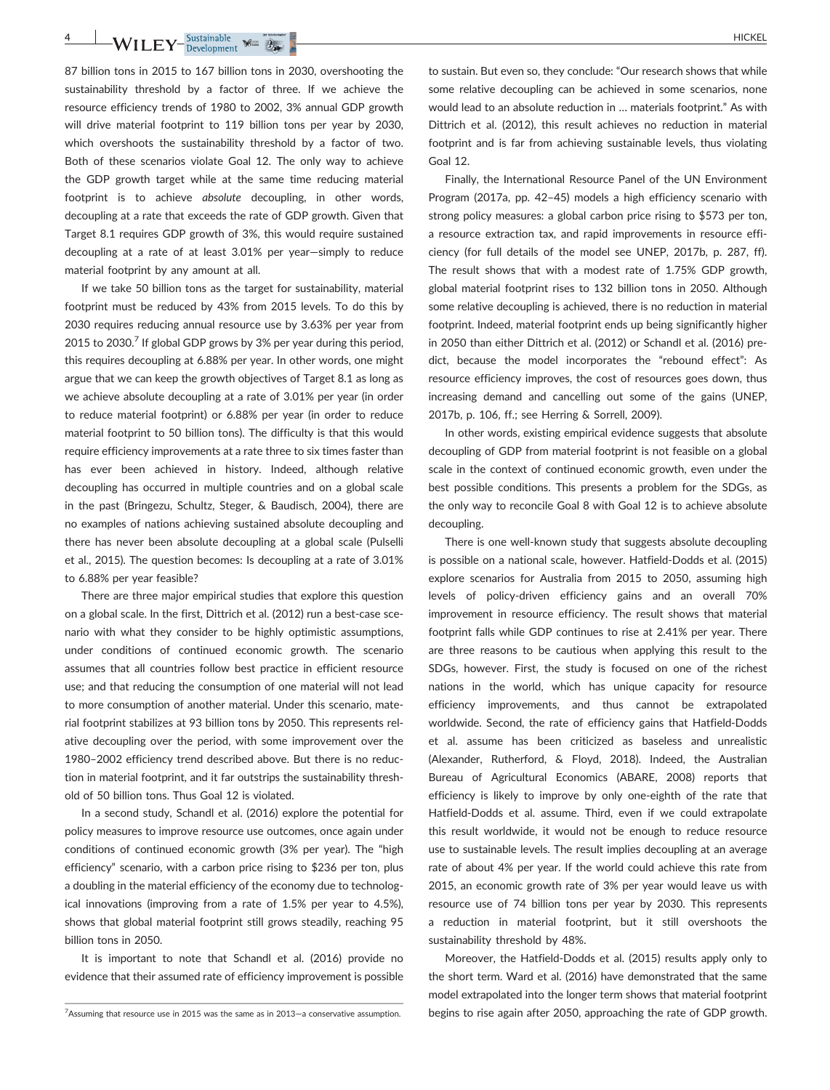**WILEY** Sustainable  $\frac{1}{2}$  HICKEL

87 billion tons in 2015 to 167 billion tons in 2030, overshooting the sustainability threshold by a factor of three. If we achieve the resource efficiency trends of 1980 to 2002, 3% annual GDP growth will drive material footprint to 119 billion tons per year by 2030, which overshoots the sustainability threshold by a factor of two. Both of these scenarios violate Goal 12. The only way to achieve the GDP growth target while at the same time reducing material footprint is to achieve *absolute* decoupling, in other words, decoupling at a rate that exceeds the rate of GDP growth. Given that Target 8.1 requires GDP growth of 3%, this would require sustained decoupling at a rate of at least 3.01% per year—simply to reduce material footprint by any amount at all.

If we take 50 billion tons as the target for sustainability, material footprint must be reduced by 43% from 2015 levels. To do this by 2030 requires reducing annual resource use by 3.63% per year from 2015 to 2030.<sup>7</sup> If global GDP grows by 3% per year during this period, this requires decoupling at 6.88% per year. In other words, one might argue that we can keep the growth objectives of Target 8.1 as long as we achieve absolute decoupling at a rate of 3.01% per year (in order to reduce material footprint) or 6.88% per year (in order to reduce material footprint to 50 billion tons). The difficulty is that this would require efficiency improvements at a rate three to six times faster than has ever been achieved in history. Indeed, although relative decoupling has occurred in multiple countries and on a global scale in the past (Bringezu, Schultz, Steger, & Baudisch, 2004), there are no examples of nations achieving sustained absolute decoupling and there has never been absolute decoupling at a global scale (Pulselli et al., 2015). The question becomes: Is decoupling at a rate of 3.01% to 6.88% per year feasible?

There are three major empirical studies that explore this question on a global scale. In the first, Dittrich et al. (2012) run a best-case scenario with what they consider to be highly optimistic assumptions, under conditions of continued economic growth. The scenario assumes that all countries follow best practice in efficient resource use; and that reducing the consumption of one material will not lead to more consumption of another material. Under this scenario, material footprint stabilizes at 93 billion tons by 2050. This represents relative decoupling over the period, with some improvement over the 1980–2002 efficiency trend described above. But there is no reduction in material footprint, and it far outstrips the sustainability threshold of 50 billion tons. Thus Goal 12 is violated.

In a second study, Schandl et al. (2016) explore the potential for policy measures to improve resource use outcomes, once again under conditions of continued economic growth (3% per year). The "high efficiency" scenario, with a carbon price rising to \$236 per ton, plus a doubling in the material efficiency of the economy due to technological innovations (improving from a rate of 1.5% per year to 4.5%), shows that global material footprint still grows steadily, reaching 95 billion tons in 2050.

It is important to note that Schandl et al. (2016) provide no evidence that their assumed rate of efficiency improvement is possible

to sustain. But even so, they conclude: "Our research shows that while some relative decoupling can be achieved in some scenarios, none would lead to an absolute reduction in … materials footprint." As with Dittrich et al. (2012), this result achieves no reduction in material footprint and is far from achieving sustainable levels, thus violating Goal 12.

Finally, the International Resource Panel of the UN Environment Program (2017a, pp. 42–45) models a high efficiency scenario with strong policy measures: a global carbon price rising to \$573 per ton, a resource extraction tax, and rapid improvements in resource efficiency (for full details of the model see UNEP, 2017b, p. 287, ff). The result shows that with a modest rate of 1.75% GDP growth, global material footprint rises to 132 billion tons in 2050. Although some relative decoupling is achieved, there is no reduction in material footprint. Indeed, material footprint ends up being significantly higher in 2050 than either Dittrich et al. (2012) or Schandl et al. (2016) predict, because the model incorporates the "rebound effect": As resource efficiency improves, the cost of resources goes down, thus increasing demand and cancelling out some of the gains (UNEP, 2017b, p. 106, ff.; see Herring & Sorrell, 2009).

In other words, existing empirical evidence suggests that absolute decoupling of GDP from material footprint is not feasible on a global scale in the context of continued economic growth, even under the best possible conditions. This presents a problem for the SDGs, as the only way to reconcile Goal 8 with Goal 12 is to achieve absolute decoupling.

There is one well-known study that suggests absolute decoupling is possible on a national scale, however. Hatfield‐Dodds et al. (2015) explore scenarios for Australia from 2015 to 2050, assuming high levels of policy‐driven efficiency gains and an overall 70% improvement in resource efficiency. The result shows that material footprint falls while GDP continues to rise at 2.41% per year. There are three reasons to be cautious when applying this result to the SDGs, however. First, the study is focused on one of the richest nations in the world, which has unique capacity for resource efficiency improvements, and thus cannot be extrapolated worldwide. Second, the rate of efficiency gains that Hatfield‐Dodds et al. assume has been criticized as baseless and unrealistic (Alexander, Rutherford, & Floyd, 2018). Indeed, the Australian Bureau of Agricultural Economics (ABARE, 2008) reports that efficiency is likely to improve by only one‐eighth of the rate that Hatfield‐Dodds et al. assume. Third, even if we could extrapolate this result worldwide, it would not be enough to reduce resource use to sustainable levels. The result implies decoupling at an average rate of about 4% per year. If the world could achieve this rate from 2015, an economic growth rate of 3% per year would leave us with resource use of 74 billion tons per year by 2030. This represents a reduction in material footprint, but it still overshoots the sustainability threshold by 48%.

Moreover, the Hatfield‐Dodds et al. (2015) results apply only to the short term. Ward et al. (2016) have demonstrated that the same model extrapolated into the longer term shows that material footprint begins to rise again after 2050, approaching the rate of GDP growth.

 $7$ Assuming that resource use in 2015 was the same as in 2013-a conservative assumption.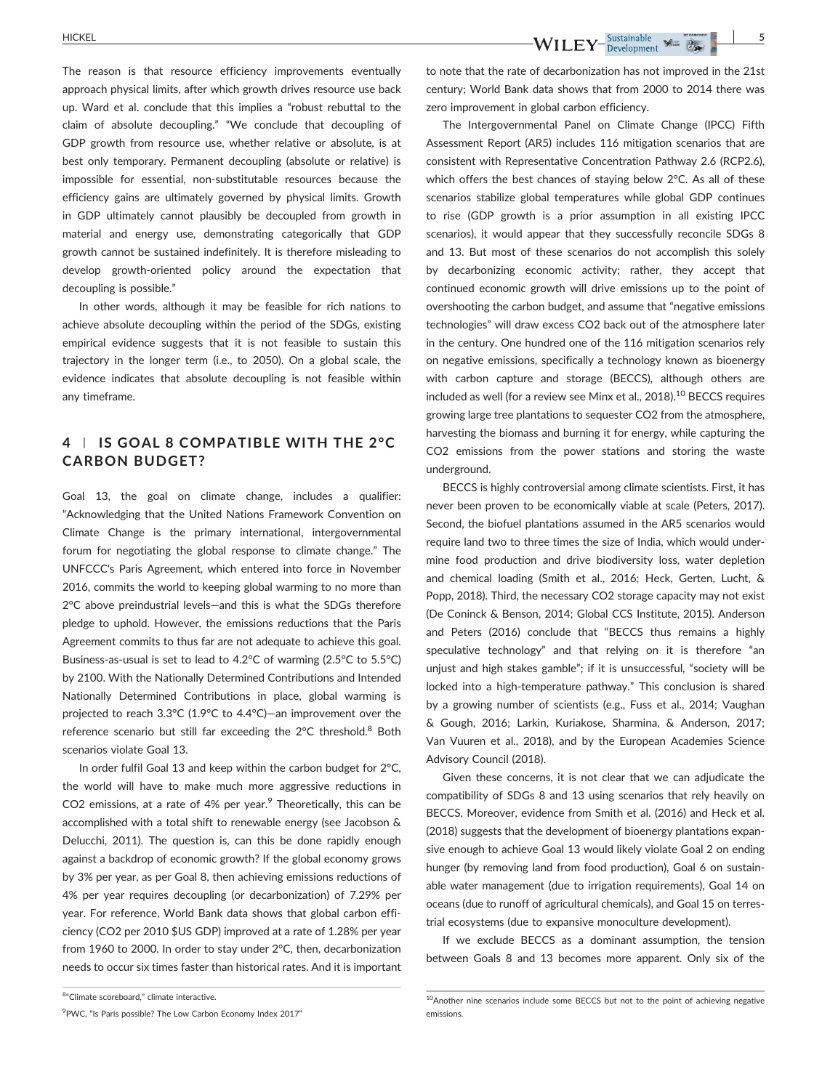The reason is that resource efficiency improvements eventually approach physical limits, after which growth drives resource use back up. Ward et al. conclude that this implies a "robust rebuttal to the claim of absolute decoupling." "We conclude that decoupling of GDP growth from resource use, whether relative or absolute, is at best only temporary. Permanent decoupling (absolute or relative) is impossible for essential, non-substitutable resources because the efficiency gains are ultimately governed by physical limits. Growth in GDP ultimately cannot plausibly be decoupled from growth in material and energy use, demonstrating categorically that GDP growth cannot be sustained indefinitely. It is therefore misleading to develop growth‐oriented policy around the expectation that decoupling is possible."

In other words, although it may be feasible for rich nations to achieve absolute decoupling within the period of the SDGs, existing empirical evidence suggests that it is not feasible to sustain this trajectory in the longer term (i.e., to 2050). On a global scale, the evidence indicates that absolute decoupling is not feasible within any timeframe.

## **4** | **IS GOAL 8 COMPATIBLE WITH THE 2°C CARBON BUDGET?**

Goal 13, the goal on climate change, includes a qualifier: "Acknowledging that the United Nations Framework Convention on Climate Change is the primary international, intergovernmental forum for negotiating the global response to climate change." The UNFCCC's Paris Agreement, which entered into force in November 2016, commits the world to keeping global warming to no more than 2°C above preindustrial levels—and this is what the SDGs therefore pledge to uphold. However, the emissions reductions that the Paris Agreement commits to thus far are not adequate to achieve this goal. Business‐as‐usual is set to lead to 4.2°C of warming (2.5°C to 5.5°C) by 2100. With the Nationally Determined Contributions and Intended Nationally Determined Contributions in place, global warming is projected to reach 3.3°C (1.9°C to 4.4°C)—an improvement over the reference scenario but still far exceeding the 2°C threshold.<sup>8</sup> Both scenarios violate Goal 13.

In order fulfil Goal 13 and keep within the carbon budget for 2°C, the world will have to make much more aggressive reductions in CO2 emissions, at a rate of  $4\%$  per year.<sup>9</sup> Theoretically, this can be accomplished with a total shift to renewable energy (see Jacobson & Delucchi, 2011). The question is, can this be done rapidly enough against a backdrop of economic growth? If the global economy grows by 3% per year, as per Goal 8, then achieving emissions reductions of 4% per year requires decoupling (or decarbonization) of 7.29% per year. For reference, World Bank data shows that global carbon efficiency (CO2 per 2010 \$US GDP) improved at a rate of 1.28% per year from 1960 to 2000. In order to stay under 2°C, then, decarbonization needs to occur six times faster than historical rates. And it is important century; World Bank data shows that from 2000 to 2014 there was zero improvement in global carbon efficiency.

The Intergovernmental Panel on Climate Change (IPCC) Fifth Assessment Report (AR5) includes 116 mitigation scenarios that are consistent with Representative Concentration Pathway 2.6 (RCP2.6), which offers the best chances of staying below 2°C. As all of these scenarios stabilize global temperatures while global GDP continues to rise (GDP growth is a prior assumption in all existing IPCC scenarios), it would appear that they successfully reconcile SDGs 8 and 13. But most of these scenarios do not accomplish this solely by decarbonizing economic activity; rather, they accept that continued economic growth will drive emissions up to the point of overshooting the carbon budget, and assume that "negative emissions technologies" will draw excess CO2 back out of the atmosphere later in the century. One hundred one of the 116 mitigation scenarios rely on negative emissions, specifically a technology known as bioenergy with carbon capture and storage (BECCS), although others are included as well (for a review see Minx et al.,  $2018$ ).<sup>10</sup> BECCS requires growing large tree plantations to sequester CO2 from the atmosphere, harvesting the biomass and burning it for energy, while capturing the CO2 emissions from the power stations and storing the waste underground.

BECCS is highly controversial among climate scientists. First, it has never been proven to be economically viable at scale (Peters, 2017). Second, the biofuel plantations assumed in the AR5 scenarios would require land two to three times the size of India, which would undermine food production and drive biodiversity loss, water depletion and chemical loading (Smith et al., 2016; Heck, Gerten, Lucht, & Popp, 2018). Third, the necessary CO2 storage capacity may not exist (De Coninck & Benson, 2014; Global CCS Institute, 2015). Anderson and Peters (2016) conclude that "BECCS thus remains a highly speculative technology" and that relying on it is therefore "an unjust and high stakes gamble"; if it is unsuccessful, "society will be locked into a high-temperature pathway." This conclusion is shared by a growing number of scientists (e.g., Fuss et al., 2014; Vaughan & Gough, 2016; Larkin, Kuriakose, Sharmina, & Anderson, 2017; Van Vuuren et al., 2018), and by the European Academies Science Advisory Council (2018).

Given these concerns, it is not clear that we can adjudicate the compatibility of SDGs 8 and 13 using scenarios that rely heavily on BECCS. Moreover, evidence from Smith et al. (2016) and Heck et al. (2018) suggests that the development of bioenergy plantations expansive enough to achieve Goal 13 would likely violate Goal 2 on ending hunger (by removing land from food production), Goal 6 on sustainable water management (due to irrigation requirements), Goal 14 on oceans (due to runoff of agricultural chemicals), and Goal 15 on terrestrial ecosystems (due to expansive monoculture development).

If we exclude BECCS as a dominant assumption, the tension between Goals 8 and 13 becomes more apparent. Only six of the

to note that the rate of decarbonization has not improved in the 21st

<sup>&</sup>lt;sup>8</sup>"Climate scoreboard," climate interactive.

<sup>&</sup>lt;sup>9</sup> PWC, "Is Paris possible? The Low Carbon Economy Index 2017"

<sup>10</sup>Another nine scenarios include some BECCS but not to the point of achieving negative emissions.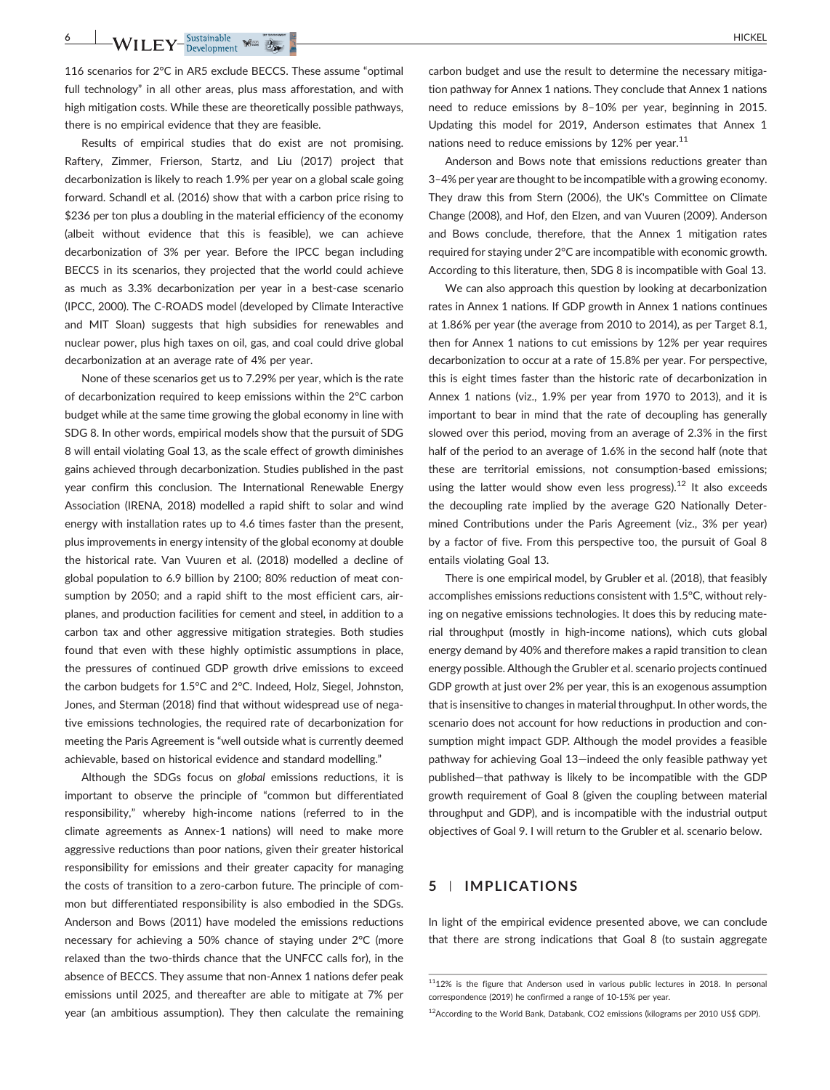116 scenarios for 2°C in AR5 exclude BECCS. These assume "optimal full technology" in all other areas, plus mass afforestation, and with high mitigation costs. While these are theoretically possible pathways, there is no empirical evidence that they are feasible.

Results of empirical studies that do exist are not promising. Raftery, Zimmer, Frierson, Startz, and Liu (2017) project that decarbonization is likely to reach 1.9% per year on a global scale going forward. Schandl et al. (2016) show that with a carbon price rising to \$236 per ton plus a doubling in the material efficiency of the economy (albeit without evidence that this is feasible), we can achieve decarbonization of 3% per year. Before the IPCC began including BECCS in its scenarios, they projected that the world could achieve as much as 3.3% decarbonization per year in a best-case scenario (IPCC, 2000). The C‐ROADS model (developed by Climate Interactive and MIT Sloan) suggests that high subsidies for renewables and nuclear power, plus high taxes on oil, gas, and coal could drive global decarbonization at an average rate of 4% per year.

None of these scenarios get us to 7.29% per year, which is the rate of decarbonization required to keep emissions within the 2°C carbon budget while at the same time growing the global economy in line with SDG 8. In other words, empirical models show that the pursuit of SDG 8 will entail violating Goal 13, as the scale effect of growth diminishes gains achieved through decarbonization. Studies published in the past year confirm this conclusion. The International Renewable Energy Association (IRENA, 2018) modelled a rapid shift to solar and wind energy with installation rates up to 4.6 times faster than the present, plus improvements in energy intensity of the global economy at double the historical rate. Van Vuuren et al. (2018) modelled a decline of global population to 6.9 billion by 2100; 80% reduction of meat consumption by 2050; and a rapid shift to the most efficient cars, airplanes, and production facilities for cement and steel, in addition to a carbon tax and other aggressive mitigation strategies. Both studies found that even with these highly optimistic assumptions in place, the pressures of continued GDP growth drive emissions to exceed the carbon budgets for 1.5°C and 2°C. Indeed, Holz, Siegel, Johnston, Jones, and Sterman (2018) find that without widespread use of negative emissions technologies, the required rate of decarbonization for meeting the Paris Agreement is "well outside what is currently deemed achievable, based on historical evidence and standard modelling."

Although the SDGs focus on *global* emissions reductions, it is important to observe the principle of "common but differentiated responsibility," whereby high‐income nations (referred to in the climate agreements as Annex‐1 nations) will need to make more aggressive reductions than poor nations, given their greater historical responsibility for emissions and their greater capacity for managing the costs of transition to a zero‐carbon future. The principle of common but differentiated responsibility is also embodied in the SDGs. Anderson and Bows (2011) have modeled the emissions reductions necessary for achieving a 50% chance of staying under 2°C (more relaxed than the two-thirds chance that the UNFCC calls for), in the absence of BECCS. They assume that non‐Annex 1 nations defer peak emissions until 2025, and thereafter are able to mitigate at 7% per year (an ambitious assumption). They then calculate the remaining

carbon budget and use the result to determine the necessary mitigation pathway for Annex 1 nations. They conclude that Annex 1 nations need to reduce emissions by 8–10% per year, beginning in 2015. Updating this model for 2019, Anderson estimates that Annex 1 nations need to reduce emissions by 12% per year.<sup>11</sup>

Anderson and Bows note that emissions reductions greater than 3–4% per year are thought to be incompatible with a growing economy. They draw this from Stern (2006), the UK's Committee on Climate Change (2008), and Hof, den Elzen, and van Vuuren (2009). Anderson and Bows conclude, therefore, that the Annex 1 mitigation rates required for staying under 2°C are incompatible with economic growth. According to this literature, then, SDG 8 is incompatible with Goal 13.

We can also approach this question by looking at decarbonization rates in Annex 1 nations. If GDP growth in Annex 1 nations continues at 1.86% per year (the average from 2010 to 2014), as per Target 8.1, then for Annex 1 nations to cut emissions by 12% per year requires decarbonization to occur at a rate of 15.8% per year. For perspective, this is eight times faster than the historic rate of decarbonization in Annex 1 nations (viz., 1.9% per year from 1970 to 2013), and it is important to bear in mind that the rate of decoupling has generally slowed over this period, moving from an average of 2.3% in the first half of the period to an average of 1.6% in the second half (note that these are territorial emissions, not consumption‐based emissions; using the latter would show even less progress).<sup>12</sup> It also exceeds the decoupling rate implied by the average G20 Nationally Determined Contributions under the Paris Agreement (viz., 3% per year) by a factor of five. From this perspective too, the pursuit of Goal 8 entails violating Goal 13.

There is one empirical model, by Grubler et al. (2018), that feasibly accomplishes emissions reductions consistent with 1.5°C, without relying on negative emissions technologies. It does this by reducing material throughput (mostly in high‐income nations), which cuts global energy demand by 40% and therefore makes a rapid transition to clean energy possible. Although the Grubler et al. scenario projects continued GDP growth at just over 2% per year, this is an exogenous assumption that is insensitive to changes in material throughput. In other words, the scenario does not account for how reductions in production and consumption might impact GDP. Although the model provides a feasible pathway for achieving Goal 13—indeed the only feasible pathway yet published—that pathway is likely to be incompatible with the GDP growth requirement of Goal 8 (given the coupling between material throughput and GDP), and is incompatible with the industrial output objectives of Goal 9. I will return to the Grubler et al. scenario below.

#### **5** | **IMPLICATIONS**

In light of the empirical evidence presented above, we can conclude that there are strong indications that Goal 8 (to sustain aggregate

 $1112\%$  is the figure that Anderson used in various public lectures in 2018. In personal correspondence (2019) he confirmed a range of 10‐15% per year.

<sup>12</sup>According to the World Bank, Databank, CO2 emissions (kilograms per 2010 US\$ GDP).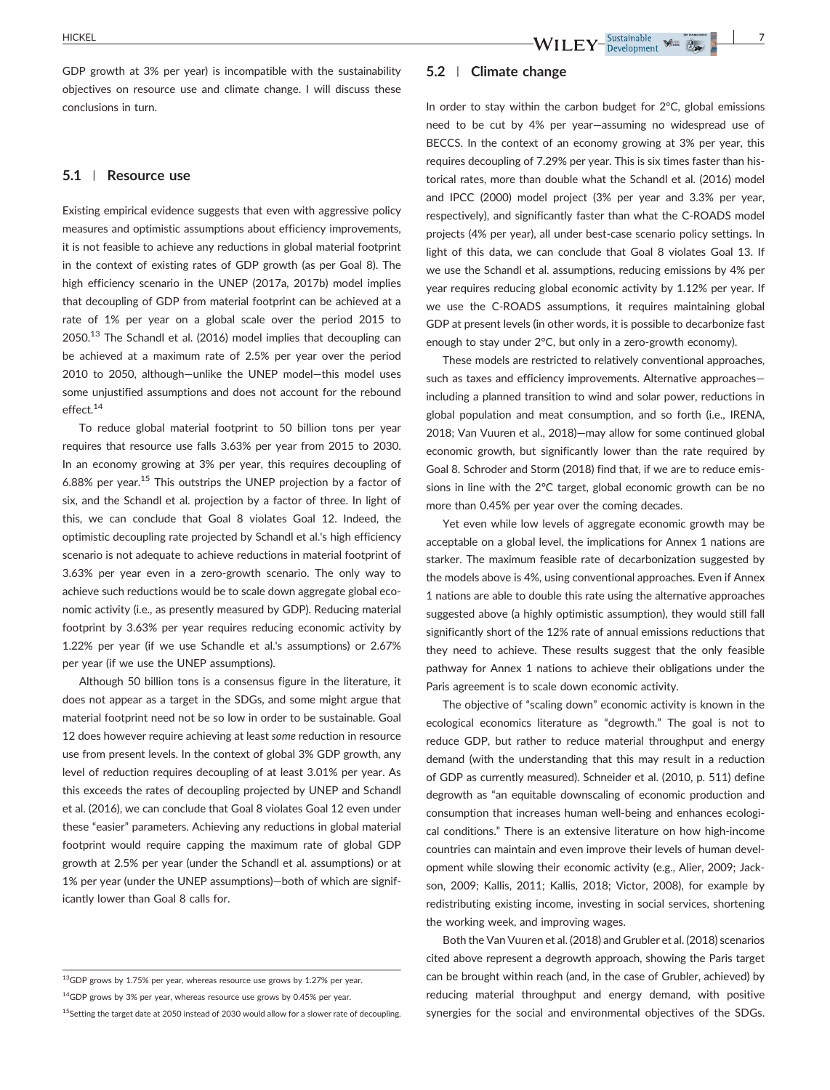GDP growth at 3% per year) is incompatible with the sustainability objectives on resource use and climate change. I will discuss these conclusions in turn.

#### **5.1** | **Resource use**

Existing empirical evidence suggests that even with aggressive policy measures and optimistic assumptions about efficiency improvements, it is not feasible to achieve any reductions in global material footprint in the context of existing rates of GDP growth (as per Goal 8). The high efficiency scenario in the UNEP (2017a, 2017b) model implies that decoupling of GDP from material footprint can be achieved at a rate of 1% per year on a global scale over the period 2015 to  $2050$ <sup>13</sup> The Schandl et al. (2016) model implies that decoupling can be achieved at a maximum rate of 2.5% per year over the period 2010 to 2050, although—unlike the UNEP model—this model uses some unjustified assumptions and does not account for the rebound effect.14

To reduce global material footprint to 50 billion tons per year requires that resource use falls 3.63% per year from 2015 to 2030. In an economy growing at 3% per year, this requires decoupling of 6.88% per year.15 This outstrips the UNEP projection by a factor of six, and the Schandl et al. projection by a factor of three. In light of this, we can conclude that Goal 8 violates Goal 12. Indeed, the optimistic decoupling rate projected by Schandl et al.'s high efficiency scenario is not adequate to achieve reductions in material footprint of 3.63% per year even in a zero‐growth scenario. The only way to achieve such reductions would be to scale down aggregate global economic activity (i.e., as presently measured by GDP). Reducing material footprint by 3.63% per year requires reducing economic activity by 1.22% per year (if we use Schandle et al.'s assumptions) or 2.67% per year (if we use the UNEP assumptions).

Although 50 billion tons is a consensus figure in the literature, it does not appear as a target in the SDGs, and some might argue that material footprint need not be so low in order to be sustainable. Goal 12 does however require achieving at least *some* reduction in resource use from present levels. In the context of global 3% GDP growth, any level of reduction requires decoupling of at least 3.01% per year. As this exceeds the rates of decoupling projected by UNEP and Schandl et al. (2016), we can conclude that Goal 8 violates Goal 12 even under these "easier" parameters. Achieving any reductions in global material footprint would require capping the maximum rate of global GDP growth at 2.5% per year (under the Schandl et al. assumptions) or at 1% per year (under the UNEP assumptions)—both of which are significantly lower than Goal 8 calls for.

#### **5.2** | **Climate change**

In order to stay within the carbon budget for 2°C, global emissions need to be cut by 4% per year—assuming no widespread use of BECCS. In the context of an economy growing at 3% per year, this requires decoupling of 7.29% per year. This is six times faster than historical rates, more than double what the Schandl et al. (2016) model and IPCC (2000) model project (3% per year and 3.3% per year, respectively), and significantly faster than what the C‐ROADS model projects (4% per year), all under best-case scenario policy settings. In light of this data, we can conclude that Goal 8 violates Goal 13. If we use the Schandl et al. assumptions, reducing emissions by 4% per year requires reducing global economic activity by 1.12% per year. If we use the C‐ROADS assumptions, it requires maintaining global GDP at present levels (in other words, it is possible to decarbonize fast enough to stay under 2°C, but only in a zero-growth economy).

These models are restricted to relatively conventional approaches, such as taxes and efficiency improvements. Alternative approaches including a planned transition to wind and solar power, reductions in global population and meat consumption, and so forth (i.e., IRENA, 2018; Van Vuuren et al., 2018)—may allow for some continued global economic growth, but significantly lower than the rate required by Goal 8. Schroder and Storm (2018) find that, if we are to reduce emissions in line with the 2°C target, global economic growth can be no more than 0.45% per year over the coming decades.

Yet even while low levels of aggregate economic growth may be acceptable on a global level, the implications for Annex 1 nations are starker. The maximum feasible rate of decarbonization suggested by the models above is 4%, using conventional approaches. Even if Annex 1 nations are able to double this rate using the alternative approaches suggested above (a highly optimistic assumption), they would still fall significantly short of the 12% rate of annual emissions reductions that they need to achieve. These results suggest that the only feasible pathway for Annex 1 nations to achieve their obligations under the Paris agreement is to scale down economic activity.

The objective of "scaling down" economic activity is known in the ecological economics literature as "degrowth." The goal is not to reduce GDP, but rather to reduce material throughput and energy demand (with the understanding that this may result in a reduction of GDP as currently measured). Schneider et al. (2010, p. 511) define degrowth as "an equitable downscaling of economic production and consumption that increases human well‐being and enhances ecological conditions." There is an extensive literature on how high-income countries can maintain and even improve their levels of human development while slowing their economic activity (e.g., Alier, 2009; Jackson, 2009; Kallis, 2011; Kallis, 2018; Victor, 2008), for example by redistributing existing income, investing in social services, shortening the working week, and improving wages.

Both the Van Vuuren et al. (2018) and Grubler et al. (2018) scenarios cited above represent a degrowth approach, showing the Paris target can be brought within reach (and, in the case of Grubler, achieved) by reducing material throughput and energy demand, with positive synergies for the social and environmental objectives of the SDGs.

 $^{13}$ GDP grows by 1.75% per year, whereas resource use grows by 1.27% per year.

 $14$ GDP grows by 3% per year, whereas resource use grows by 0.45% per year.

 $^{15}$ Setting the target date at 2050 instead of 2030 would allow for a slower rate of decoupling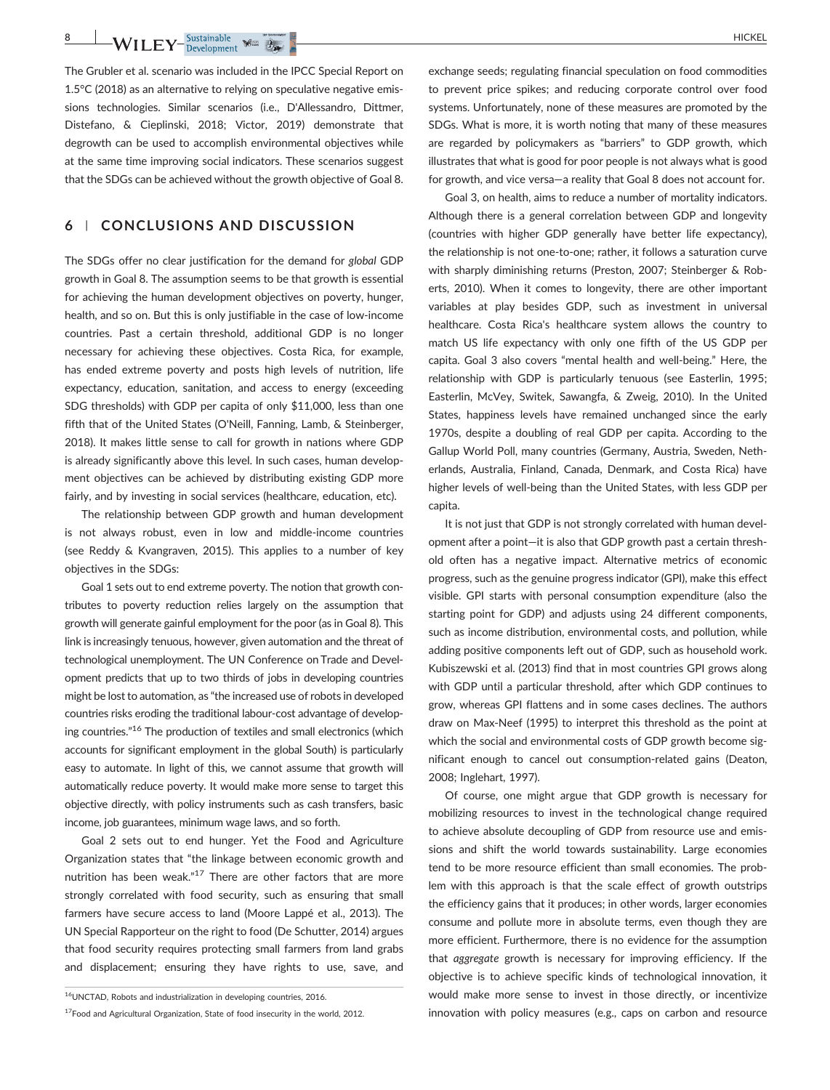**8** WILEY<sup>-Sustainable Man  $\frac{1}{2}$ </sup>

The Grubler et al. scenario was included in the IPCC Special Report on 1.5°C (2018) as an alternative to relying on speculative negative emissions technologies. Similar scenarios (i.e., D'Allessandro, Dittmer, Distefano, & Cieplinski, 2018; Victor, 2019) demonstrate that degrowth can be used to accomplish environmental objectives while at the same time improving social indicators. These scenarios suggest that the SDGs can be achieved without the growth objective of Goal 8.

## **6** | **CONCLUSIONS AND DISCUSSION**

The SDGs offer no clear justification for the demand for *global* GDP growth in Goal 8. The assumption seems to be that growth is essential for achieving the human development objectives on poverty, hunger, health, and so on. But this is only justifiable in the case of low‐income countries. Past a certain threshold, additional GDP is no longer necessary for achieving these objectives. Costa Rica, for example, has ended extreme poverty and posts high levels of nutrition, life expectancy, education, sanitation, and access to energy (exceeding SDG thresholds) with GDP per capita of only \$11,000, less than one fifth that of the United States (O'Neill, Fanning, Lamb, & Steinberger, 2018). It makes little sense to call for growth in nations where GDP is already significantly above this level. In such cases, human development objectives can be achieved by distributing existing GDP more fairly, and by investing in social services (healthcare, education, etc).

The relationship between GDP growth and human development is not always robust, even in low and middle‐income countries (see Reddy & Kvangraven, 2015). This applies to a number of key objectives in the SDGs:

Goal 1 sets out to end extreme poverty. The notion that growth contributes to poverty reduction relies largely on the assumption that growth will generate gainful employment for the poor (as in Goal 8). This link is increasingly tenuous, however, given automation and the threat of technological unemployment. The UN Conference on Trade and Development predicts that up to two thirds of jobs in developing countries might be lost to automation, as "the increased use of robots in developed countries risks eroding the traditional labour‐cost advantage of developing countries."<sup>16</sup> The production of textiles and small electronics (which accounts for significant employment in the global South) is particularly easy to automate. In light of this, we cannot assume that growth will automatically reduce poverty. It would make more sense to target this objective directly, with policy instruments such as cash transfers, basic income, job guarantees, minimum wage laws, and so forth.

Goal 2 sets out to end hunger. Yet the Food and Agriculture Organization states that "the linkage between economic growth and nutrition has been weak."<sup>17</sup> There are other factors that are more strongly correlated with food security, such as ensuring that small farmers have secure access to land (Moore Lappé et al., 2013). The UN Special Rapporteur on the right to food (De Schutter, 2014) argues that food security requires protecting small farmers from land grabs and displacement; ensuring they have rights to use, save, and exchange seeds; regulating financial speculation on food commodities to prevent price spikes; and reducing corporate control over food systems. Unfortunately, none of these measures are promoted by the SDGs. What is more, it is worth noting that many of these measures are regarded by policymakers as "barriers" to GDP growth, which illustrates that what is good for poor people is not always what is good for growth, and vice versa—a reality that Goal 8 does not account for.

Goal 3, on health, aims to reduce a number of mortality indicators. Although there is a general correlation between GDP and longevity (countries with higher GDP generally have better life expectancy), the relationship is not one‐to‐one; rather, it follows a saturation curve with sharply diminishing returns (Preston, 2007; Steinberger & Roberts, 2010). When it comes to longevity, there are other important variables at play besides GDP, such as investment in universal healthcare. Costa Rica's healthcare system allows the country to match US life expectancy with only one fifth of the US GDP per capita. Goal 3 also covers "mental health and well‐being." Here, the relationship with GDP is particularly tenuous (see Easterlin, 1995; Easterlin, McVey, Switek, Sawangfa, & Zweig, 2010). In the United States, happiness levels have remained unchanged since the early 1970s, despite a doubling of real GDP per capita. According to the Gallup World Poll, many countries (Germany, Austria, Sweden, Netherlands, Australia, Finland, Canada, Denmark, and Costa Rica) have higher levels of well-being than the United States, with less GDP per capita.

It is not just that GDP is not strongly correlated with human development after a point—it is also that GDP growth past a certain threshold often has a negative impact. Alternative metrics of economic progress, such as the genuine progress indicator (GPI), make this effect visible. GPI starts with personal consumption expenditure (also the starting point for GDP) and adjusts using 24 different components, such as income distribution, environmental costs, and pollution, while adding positive components left out of GDP, such as household work. Kubiszewski et al. (2013) find that in most countries GPI grows along with GDP until a particular threshold, after which GDP continues to grow, whereas GPI flattens and in some cases declines. The authors draw on Max‐Neef (1995) to interpret this threshold as the point at which the social and environmental costs of GDP growth become significant enough to cancel out consumption‐related gains (Deaton, 2008; Inglehart, 1997).

Of course, one might argue that GDP growth is necessary for mobilizing resources to invest in the technological change required to achieve absolute decoupling of GDP from resource use and emissions and shift the world towards sustainability. Large economies tend to be more resource efficient than small economies. The problem with this approach is that the scale effect of growth outstrips the efficiency gains that it produces; in other words, larger economies consume and pollute more in absolute terms, even though they are more efficient. Furthermore, there is no evidence for the assumption that *aggregate* growth is necessary for improving efficiency. If the objective is to achieve specific kinds of technological innovation, it would make more sense to invest in those directly, or incentivize innovation with policy measures (e.g., caps on carbon and resource

<sup>16</sup>UNCTAD, Robots and industrialization in developing countries, 2016.

<sup>&</sup>lt;sup>17</sup>Food and Agricultural Organization, State of food insecurity in the world, 2012.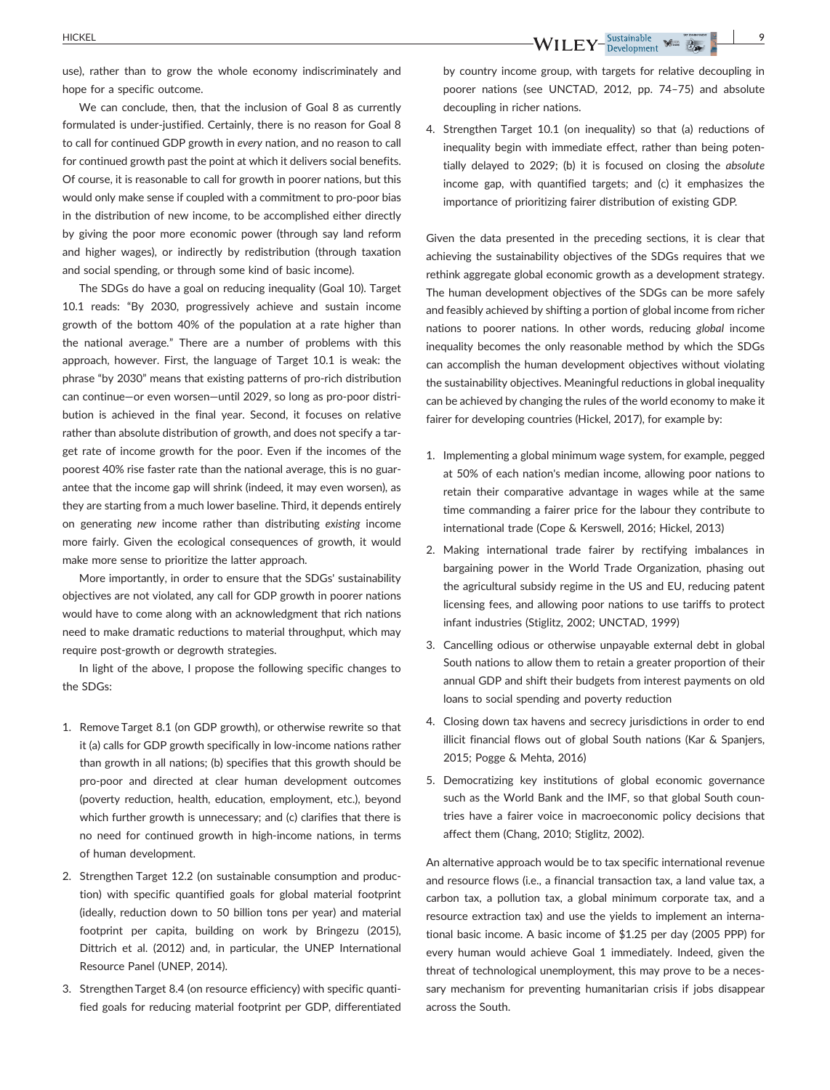use), rather than to grow the whole economy indiscriminately and hope for a specific outcome.

We can conclude, then, that the inclusion of Goal 8 as currently formulated is under‐justified. Certainly, there is no reason for Goal 8 to call for continued GDP growth in *every* nation, and no reason to call for continued growth past the point at which it delivers social benefits. Of course, it is reasonable to call for growth in poorer nations, but this would only make sense if coupled with a commitment to pro‐poor bias in the distribution of new income, to be accomplished either directly by giving the poor more economic power (through say land reform and higher wages), or indirectly by redistribution (through taxation and social spending, or through some kind of basic income).

The SDGs do have a goal on reducing inequality (Goal 10). Target 10.1 reads: "By 2030, progressively achieve and sustain income growth of the bottom 40% of the population at a rate higher than the national average." There are a number of problems with this approach, however. First, the language of Target 10.1 is weak: the phrase "by 2030" means that existing patterns of pro‐rich distribution can continue—or even worsen—until 2029, so long as pro‐poor distribution is achieved in the final year. Second, it focuses on relative rather than absolute distribution of growth, and does not specify a target rate of income growth for the poor. Even if the incomes of the poorest 40% rise faster rate than the national average, this is no guarantee that the income gap will shrink (indeed, it may even worsen), as they are starting from a much lower baseline. Third, it depends entirely on generating *new* income rather than distributing *existing* income more fairly. Given the ecological consequences of growth, it would make more sense to prioritize the latter approach.

More importantly, in order to ensure that the SDGs' sustainability objectives are not violated, any call for GDP growth in poorer nations would have to come along with an acknowledgment that rich nations need to make dramatic reductions to material throughput, which may require post‐growth or degrowth strategies.

In light of the above, I propose the following specific changes to the SDGs:

- 1. Remove Target 8.1 (on GDP growth), or otherwise rewrite so that it (a) calls for GDP growth specifically in low-income nations rather than growth in all nations; (b) specifies that this growth should be pro‐poor and directed at clear human development outcomes (poverty reduction, health, education, employment, etc.), beyond which further growth is unnecessary; and (c) clarifies that there is no need for continued growth in high‐income nations, in terms of human development.
- 2. Strengthen Target 12.2 (on sustainable consumption and production) with specific quantified goals for global material footprint (ideally, reduction down to 50 billion tons per year) and material footprint per capita, building on work by Bringezu (2015), Dittrich et al. (2012) and, in particular, the UNEP International Resource Panel (UNEP, 2014).
- 3. Strengthen Target 8.4 (on resource efficiency) with specific quantified goals for reducing material footprint per GDP, differentiated

by country income group, with targets for relative decoupling in poorer nations (see UNCTAD, 2012, pp. 74–75) and absolute decoupling in richer nations.

4. Strengthen Target 10.1 (on inequality) so that (a) reductions of inequality begin with immediate effect, rather than being potentially delayed to 2029; (b) it is focused on closing the *absolute* income gap, with quantified targets; and (c) it emphasizes the importance of prioritizing fairer distribution of existing GDP.

Given the data presented in the preceding sections, it is clear that achieving the sustainability objectives of the SDGs requires that we rethink aggregate global economic growth as a development strategy. The human development objectives of the SDGs can be more safely and feasibly achieved by shifting a portion of global income from richer nations to poorer nations. In other words, reducing *global* income inequality becomes the only reasonable method by which the SDGs can accomplish the human development objectives without violating the sustainability objectives. Meaningful reductions in global inequality can be achieved by changing the rules of the world economy to make it fairer for developing countries (Hickel, 2017), for example by:

- 1. Implementing a global minimum wage system, for example, pegged at 50% of each nation's median income, allowing poor nations to retain their comparative advantage in wages while at the same time commanding a fairer price for the labour they contribute to international trade (Cope & Kerswell, 2016; Hickel, 2013)
- 2. Making international trade fairer by rectifying imbalances in bargaining power in the World Trade Organization, phasing out the agricultural subsidy regime in the US and EU, reducing patent licensing fees, and allowing poor nations to use tariffs to protect infant industries (Stiglitz, 2002; UNCTAD, 1999)
- 3. Cancelling odious or otherwise unpayable external debt in global South nations to allow them to retain a greater proportion of their annual GDP and shift their budgets from interest payments on old loans to social spending and poverty reduction
- 4. Closing down tax havens and secrecy jurisdictions in order to end illicit financial flows out of global South nations (Kar & Spanjers, 2015; Pogge & Mehta, 2016)
- 5. Democratizing key institutions of global economic governance such as the World Bank and the IMF, so that global South countries have a fairer voice in macroeconomic policy decisions that affect them (Chang, 2010; Stiglitz, 2002).

An alternative approach would be to tax specific international revenue and resource flows (i.e., a financial transaction tax, a land value tax, a carbon tax, a pollution tax, a global minimum corporate tax, and a resource extraction tax) and use the yields to implement an international basic income. A basic income of \$1.25 per day (2005 PPP) for every human would achieve Goal 1 immediately. Indeed, given the threat of technological unemployment, this may prove to be a necessary mechanism for preventing humanitarian crisis if jobs disappear across the South.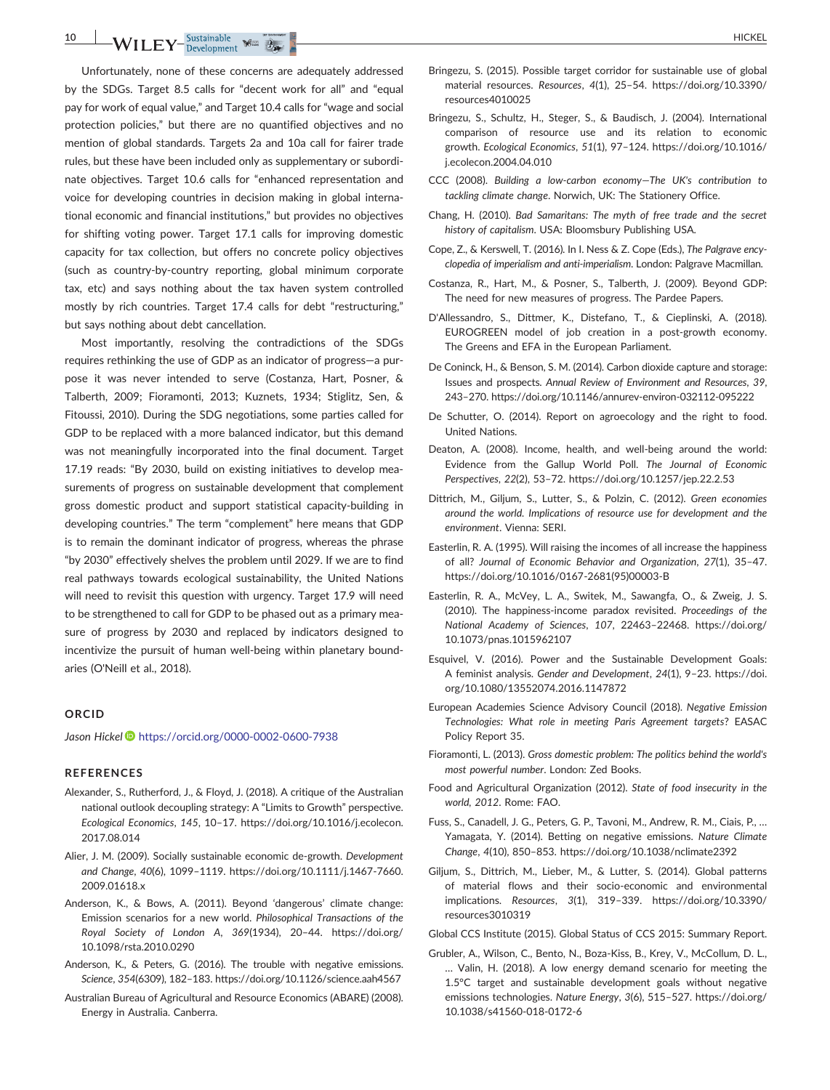$N$ **I**  $\text{LEY}$ <sup>-Sustainable</sup>  $\frac{1}{2}$ 

Unfortunately, none of these concerns are adequately addressed by the SDGs. Target 8.5 calls for "decent work for all" and "equal pay for work of equal value," and Target 10.4 calls for "wage and social protection policies," but there are no quantified objectives and no mention of global standards. Targets 2a and 10a call for fairer trade rules, but these have been included only as supplementary or subordinate objectives. Target 10.6 calls for "enhanced representation and voice for developing countries in decision making in global international economic and financial institutions," but provides no objectives for shifting voting power. Target 17.1 calls for improving domestic capacity for tax collection, but offers no concrete policy objectives (such as country‐by‐country reporting, global minimum corporate tax, etc) and says nothing about the tax haven system controlled mostly by rich countries. Target 17.4 calls for debt "restructuring," but says nothing about debt cancellation.

Most importantly, resolving the contradictions of the SDGs requires rethinking the use of GDP as an indicator of progress—a purpose it was never intended to serve (Costanza, Hart, Posner, & Talberth, 2009; Fioramonti, 2013; Kuznets, 1934; Stiglitz, Sen, & Fitoussi, 2010). During the SDG negotiations, some parties called for GDP to be replaced with a more balanced indicator, but this demand was not meaningfully incorporated into the final document. Target 17.19 reads: "By 2030, build on existing initiatives to develop measurements of progress on sustainable development that complement gross domestic product and support statistical capacity‐building in developing countries." The term "complement" here means that GDP is to remain the dominant indicator of progress, whereas the phrase "by 2030" effectively shelves the problem until 2029. If we are to find real pathways towards ecological sustainability, the United Nations will need to revisit this question with urgency. Target 17.9 will need to be strengthened to call for GDP to be phased out as a primary measure of progress by 2030 and replaced by indicators designed to incentivize the pursuit of human well‐being within planetary boundaries (O'Neill et al., 2018).

#### **ORCID**

*Jason Hickel* <https://orcid.org/0000-0002-0600-7938>

#### **REFERENCES**

- Alexander, S., Rutherford, J., & Floyd, J. (2018). A critique of the Australian national outlook decoupling strategy: A "Limits to Growth" perspective. *Ecological Economics*, *145*, 10–17. [https://doi.org/10.1016/j.ecolecon.](https://doi.org/10.1016/j.ecolecon.2017.08.014) [2017.08.014](https://doi.org/10.1016/j.ecolecon.2017.08.014)
- Alier, J. M. (2009). Socially sustainable economic de‐growth. *Development and Change*, *40*(6), 1099–1119. [https://doi.org/10.1111/j.1467](https://doi.org/10.1111/j.1467-7660.2009.01618.x)‐7660. [2009.01618.x](https://doi.org/10.1111/j.1467-7660.2009.01618.x)
- Anderson, K., & Bows, A. (2011). Beyond 'dangerous' climate change: Emission scenarios for a new world. *Philosophical Transactions of the Royal Society of London A*, *369*(1934), 20–44. [https://doi.org/](https://doi.org/10.1098/rsta.2010.0290) [10.1098/rsta.2010.0290](https://doi.org/10.1098/rsta.2010.0290)
- Anderson, K., & Peters, G. (2016). The trouble with negative emissions. *Science*, *354*(6309), 182–183.<https://doi.org/10.1126/science.aah4567>
- Australian Bureau of Agricultural and Resource Economics (ABARE) (2008). Energy in Australia. Canberra.
- Bringezu, S. (2015). Possible target corridor for sustainable use of global material resources. *Resources*, *4*(1), 25–54. [https://doi.org/10.3390/](https://doi.org/10.3390/resources4010025) [resources4010025](https://doi.org/10.3390/resources4010025)
- Bringezu, S., Schultz, H., Steger, S., & Baudisch, J. (2004). International comparison of resource use and its relation to economic growth. *Ecological Economics*, *51*(1), 97–124. [https://doi.org/10.1016/](https://doi.org/10.1016/j.ecolecon.2004.04.010) [j.ecolecon.2004.04.010](https://doi.org/10.1016/j.ecolecon.2004.04.010)
- CCC (2008). *Building a low‐carbon economy—The UK's contribution to tackling climate change*. Norwich, UK: The Stationery Office.
- Chang, H. (2010). *Bad Samaritans: The myth of free trade and the secret history of capitalism*. USA: Bloomsbury Publishing USA.
- Cope, Z., & Kerswell, T. (2016). In I. Ness & Z. Cope (Eds.), *The Palgrave encyclopedia of imperialism and anti‐imperialism*. London: Palgrave Macmillan.
- Costanza, R., Hart, M., & Posner, S., Talberth, J. (2009). Beyond GDP: The need for new measures of progress. The Pardee Papers.
- D'Allessandro, S., Dittmer, K., Distefano, T., & Cieplinski, A. (2018). EUROGREEN model of job creation in a post‐growth economy. The Greens and EFA in the European Parliament.
- De Coninck, H., & Benson, S. M. (2014). Carbon dioxide capture and storage: Issues and prospects. *Annual Review of Environment and Resources*, *39*, 243–270. [https://doi.org/10.1146/annurev](https://doi.org/10.1146/annurev-environ-032112-095222)‐environ‐032112‐095222
- De Schutter, O. (2014). Report on agroecology and the right to food. United Nations.
- Deaton, A. (2008). Income, health, and well‐being around the world: Evidence from the Gallup World Poll. *The Journal of Economic Perspectives*, *22*(2), 53–72.<https://doi.org/10.1257/jep.22.2.53>
- Dittrich, M., Giljum, S., Lutter, S., & Polzin, C. (2012). *Green economies around the world. Implications of resource use for development and the environment*. Vienna: SERI.
- Easterlin, R. A. (1995). Will raising the incomes of all increase the happiness of all? *Journal of Economic Behavior and Organization*, *27*(1), 35–47. [https://doi.org/10.1016/0167](https://doi.org/10.1016/0167-2681(95)00003-B)‐2681(95)00003‐B
- Easterlin, R. A., McVey, L. A., Switek, M., Sawangfa, O., & Zweig, J. S. (2010). The happiness‐income paradox revisited. *Proceedings of the National Academy of Sciences*, *107*, 22463–22468. [https://doi.org/](https://doi.org/10.1073/pnas.1015962107) [10.1073/pnas.1015962107](https://doi.org/10.1073/pnas.1015962107)
- Esquivel, V. (2016). Power and the Sustainable Development Goals: A feminist analysis. *Gender and Development*, *24*(1), 9–23. [https://doi.](https://doi.org/10.1080/13552074.2016.1147872) [org/10.1080/13552074.2016.1147872](https://doi.org/10.1080/13552074.2016.1147872)
- European Academies Science Advisory Council (2018). *Negative Emission Technologies: What role in meeting Paris Agreement targets*? EASAC Policy Report 35.
- Fioramonti, L. (2013). *Gross domestic problem: The politics behind the world's most powerful number*. London: Zed Books.
- Food and Agricultural Organization (2012). *State of food insecurity in the world, 2012*. Rome: FAO.
- Fuss, S., Canadell, J. G., Peters, G. P., Tavoni, M., Andrew, R. M., Ciais, P., … Yamagata, Y. (2014). Betting on negative emissions. *Nature Climate Change*, *4*(10), 850–853.<https://doi.org/10.1038/nclimate2392>
- Giljum, S., Dittrich, M., Lieber, M., & Lutter, S. (2014). Global patterns of material flows and their socio‐economic and environmental implications. *Resources*, *3*(1), 319–339. [https://doi.org/10.3390/](https://doi.org/10.3390/resources3010319) [resources3010319](https://doi.org/10.3390/resources3010319)
- Global CCS Institute (2015). Global Status of CCS 2015: Summary Report.
- Grubler, A., Wilson, C., Bento, N., Boza‐Kiss, B., Krey, V., McCollum, D. L., … Valin, H. (2018). A low energy demand scenario for meeting the 1.5°C target and sustainable development goals without negative emissions technologies. *Nature Energy*, *3*(6), 515–527. [https://doi.org/](https://doi.org/10.1038/s41560-018-0172-6) [10.1038/s41560](https://doi.org/10.1038/s41560-018-0172-6)‐018‐0172‐6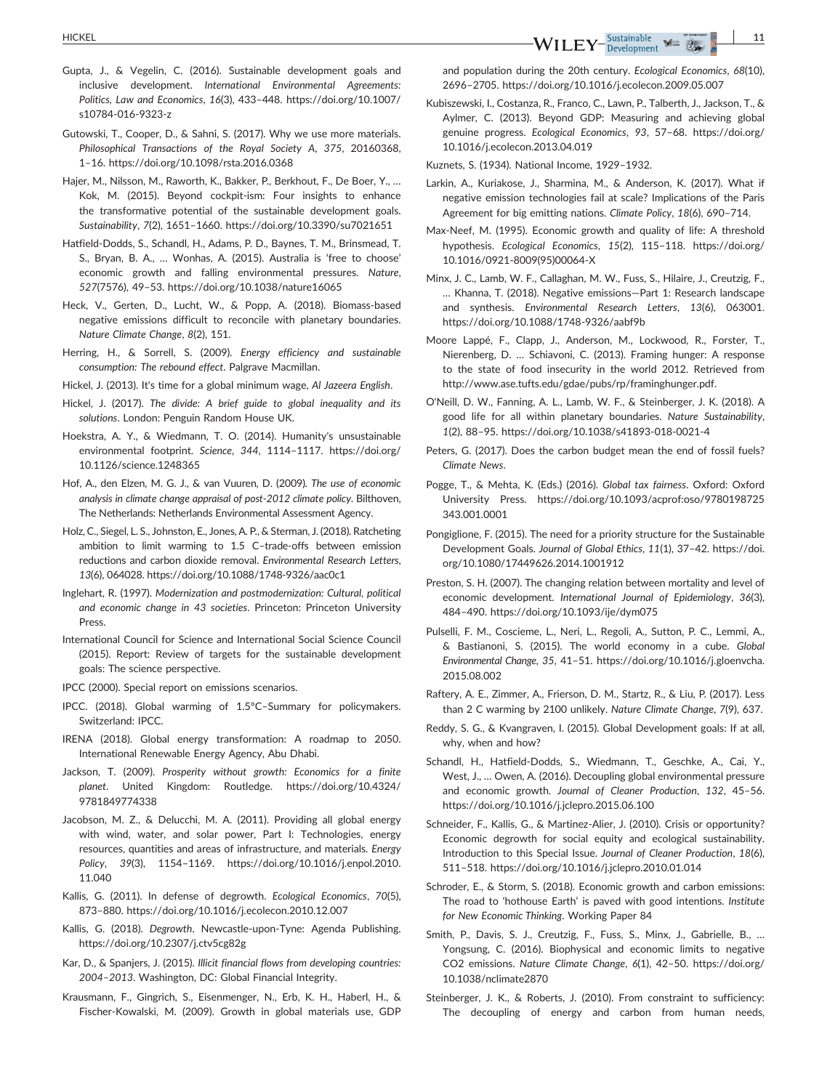- Gupta, J., & Vegelin, C. (2016). Sustainable development goals and inclusive development. *International Environmental Agreements: Politics, Law and Economics*, *16*(3), 433–448. [https://doi.org/10.1007/](https://doi.org/10.1007/s10784-016-9323-z) [s10784](https://doi.org/10.1007/s10784-016-9323-z)‐016‐9323‐z
- Gutowski, T., Cooper, D., & Sahni, S. (2017). Why we use more materials. *Philosophical Transactions of the Royal Society A*, *375*, 20160368, 1–16.<https://doi.org/10.1098/rsta.2016.0368>
- Hajer, M., Nilsson, M., Raworth, K., Bakker, P., Berkhout, F., De Boer, Y., … Kok, M. (2015). Beyond cockpit‐ism: Four insights to enhance the transformative potential of the sustainable development goals. *Sustainability*, *7*(2), 1651–1660.<https://doi.org/10.3390/su7021651>
- Hatfield‐Dodds, S., Schandl, H., Adams, P. D., Baynes, T. M., Brinsmead, T. S., Bryan, B. A., … Wonhas, A. (2015). Australia is 'free to choose' economic growth and falling environmental pressures. *Nature*, *527*(7576), 49–53.<https://doi.org/10.1038/nature16065>
- Heck, V., Gerten, D., Lucht, W., & Popp, A. (2018). Biomass-based negative emissions difficult to reconcile with planetary boundaries. *Nature Climate Change*, *8*(2), 151.
- Herring, H., & Sorrell, S. (2009). *Energy efficiency and sustainable consumption: The rebound effect*. Palgrave Macmillan.
- Hickel, J. (2013). It's time for a global minimum wage, *Al Jazeera English*.
- Hickel, J. (2017). *The divide: A brief guide to global inequality and its solutions*. London: Penguin Random House UK.
- Hoekstra, A. Y., & Wiedmann, T. O. (2014). Humanity's unsustainable environmental footprint. *Science*, *344*, 1114–1117. [https://doi.org/](https://doi.org/10.1126/science.1248365) [10.1126/science.1248365](https://doi.org/10.1126/science.1248365)
- Hof, A., den Elzen, M. G. J., & van Vuuren, D. (2009). *The use of economic analysis in climate change appraisal of post‐2012 climate policy*. Bilthoven, The Netherlands: Netherlands Environmental Assessment Agency.
- Holz, C., Siegel, L. S., Johnston, E., Jones, A. P., & Sterman, J. (2018). Ratcheting ambition to limit warming to 1.5 C–trade‐offs between emission reductions and carbon dioxide removal. *Environmental Research Letters*, *13*(6), 064028. [https://doi.org/10.1088/1748](https://doi.org/10.1088/1748-9326/aac0c1)‐9326/aac0c1
- Inglehart, R. (1997). *Modernization and postmodernization: Cultural, political and economic change in 43 societies*. Princeton: Princeton University Press.
- International Council for Science and International Social Science Council (2015). Report: Review of targets for the sustainable development goals: The science perspective.
- IPCC (2000). Special report on emissions scenarios.
- IPCC. (2018). Global warming of 1.5°C–Summary for policymakers. Switzerland: IPCC.
- IRENA (2018). Global energy transformation: A roadmap to 2050. International Renewable Energy Agency, Abu Dhabi.
- Jackson, T. (2009). *Prosperity without growth: Economics for a finite planet*. United Kingdom: Routledge. [https://doi.org/10.4324/](https://doi.org/10.4324/9781849774338) [9781849774338](https://doi.org/10.4324/9781849774338)
- Jacobson, M. Z., & Delucchi, M. A. (2011). Providing all global energy with wind, water, and solar power, Part I: Technologies, energy resources, quantities and areas of infrastructure, and materials. *Energy Policy*, *39*(3), 1154–1169. [https://doi.org/10.1016/j.enpol.2010.](https://doi.org/10.1016/j.enpol.2010.11.040) [11.040](https://doi.org/10.1016/j.enpol.2010.11.040)
- Kallis, G. (2011). In defense of degrowth. *Ecological Economics*, *70*(5), 873–880.<https://doi.org/10.1016/j.ecolecon.2010.12.007>
- Kallis, G. (2018). *Degrowth*. Newcastle‐upon‐Tyne: Agenda Publishing. <https://doi.org/10.2307/j.ctv5cg82g>
- Kar, D., & Spanjers, J. (2015). *Illicit financial flows from developing countries: 2004–2013*. Washington, DC: Global Financial Integrity.
- Krausmann, F., Gingrich, S., Eisenmenger, N., Erb, K. H., Haberl, H., & Fischer‐Kowalski, M. (2009). Growth in global materials use, GDP

and population during the 20th century. *Ecological Economics*, *68*(10), 2696–2705.<https://doi.org/10.1016/j.ecolecon.2009.05.007>

Kubiszewski, I., Costanza, R., Franco, C., Lawn, P., Talberth, J., Jackson, T., & Aylmer, C. (2013). Beyond GDP: Measuring and achieving global genuine progress. *Ecological Economics*, *93*, 57–68. [https://doi.org/](https://doi.org/10.1016/j.ecolecon.2013.04.019) [10.1016/j.ecolecon.2013.04.019](https://doi.org/10.1016/j.ecolecon.2013.04.019)

Kuznets, S. (1934). National Income, 1929–1932.

- Larkin, A., Kuriakose, J., Sharmina, M., & Anderson, K. (2017). What if negative emission technologies fail at scale? Implications of the Paris Agreement for big emitting nations. *Climate Policy*, *18*(6), 690–714.
- Max‐Neef, M. (1995). Economic growth and quality of life: A threshold hypothesis. *Ecological Economics*, *15*(2), 115–118. [https://doi.org/](https://doi.org/10.1016/0921-8009(95)00064-X) 10.1016/0921‐[8009\(95\)00064](https://doi.org/10.1016/0921-8009(95)00064-X)‐X
- Minx, J. C., Lamb, W. F., Callaghan, M. W., Fuss, S., Hilaire, J., Creutzig, F., … Khanna, T. (2018). Negative emissions—Part 1: Research landscape and synthesis. *Environmental Research Letters*, *13*(6), 063001. [https://doi.org/10.1088/1748](https://doi.org/10.1088/1748-9326/aabf9b)‐9326/aabf9b
- Moore Lappé, F., Clapp, J., Anderson, M., Lockwood, R., Forster, T., Nierenberg, D. … Schiavoni, C. (2013). Framing hunger: A response to the state of food insecurity in the world 2012. Retrieved from [http://www.ase.tufts.edu/gdae/pubs/rp/framinghunger.pdf.](http://www.ase.tufts.edu/gdae/pubs/rp/framinghunger.pdf)
- O'Neill, D. W., Fanning, A. L., Lamb, W. F., & Steinberger, J. K. (2018). A good life for all within planetary boundaries. *Nature Sustainability*, *1*(2), 88–95. [https://doi.org/10.1038/s41893](https://doi.org/10.1038/s41893-018-0021-4)‐018‐0021‐4
- Peters, G. (2017). Does the carbon budget mean the end of fossil fuels? *Climate News*.
- Pogge, T., & Mehta, K. (Eds.) (2016). *Global tax fairness*. Oxford: Oxford University Press. [https://doi.org/10.1093/acprof:oso/9780198725](https://doi.org/10.1093/acprof:oso/9780198725343.001.0001) [343.001.0001](https://doi.org/10.1093/acprof:oso/9780198725343.001.0001)
- Pongiglione, F. (2015). The need for a priority structure for the Sustainable Development Goals. *Journal of Global Ethics*, *11*(1), 37–42. [https://doi.](https://doi.org/10.1080/17449626.2014.1001912) [org/10.1080/17449626.2014.1001912](https://doi.org/10.1080/17449626.2014.1001912)
- Preston, S. H. (2007). The changing relation between mortality and level of economic development. *International Journal of Epidemiology*, *36*(3), 484–490.<https://doi.org/10.1093/ije/dym075>
- Pulselli, F. M., Coscieme, L., Neri, L., Regoli, A., Sutton, P. C., Lemmi, A., & Bastianoni, S. (2015). The world economy in a cube. *Global Environmental Change*, *35*, 41–51. [https://doi.org/10.1016/j.gloenvcha.](https://doi.org/10.1016/j.gloenvcha.2015.08.002) [2015.08.002](https://doi.org/10.1016/j.gloenvcha.2015.08.002)
- Raftery, A. E., Zimmer, A., Frierson, D. M., Startz, R., & Liu, P. (2017). Less than 2 C warming by 2100 unlikely. *Nature Climate Change*, *7*(9), 637.
- Reddy, S. G., & Kvangraven, I. (2015). Global Development goals: If at all, why, when and how?
- Schandl, H., Hatfield‐Dodds, S., Wiedmann, T., Geschke, A., Cai, Y., West, J., … Owen, A. (2016). Decoupling global environmental pressure and economic growth. *Journal of Cleaner Production*, *132*, 45–56. <https://doi.org/10.1016/j.jclepro.2015.06.100>
- Schneider, F., Kallis, G., & Martinez‐Alier, J. (2010). Crisis or opportunity? Economic degrowth for social equity and ecological sustainability. Introduction to this Special Issue. *Journal of Cleaner Production*, *18*(6), 511–518.<https://doi.org/10.1016/j.jclepro.2010.01.014>
- Schroder, E., & Storm, S. (2018). Economic growth and carbon emissions: The road to 'hothouse Earth' is paved with good intentions. *Institute for New Economic Thinking*. Working Paper 84
- Smith, P., Davis, S. J., Creutzig, F., Fuss, S., Minx, J., Gabrielle, B., … Yongsung, C. (2016). Biophysical and economic limits to negative CO2 emissions. *Nature Climate Change*, *6*(1), 42–50. [https://doi.org/](https://doi.org/10.1038/nclimate2870) [10.1038/nclimate2870](https://doi.org/10.1038/nclimate2870)
- Steinberger, J. K., & Roberts, J. (2010). From constraint to sufficiency: The decoupling of energy and carbon from human needs,